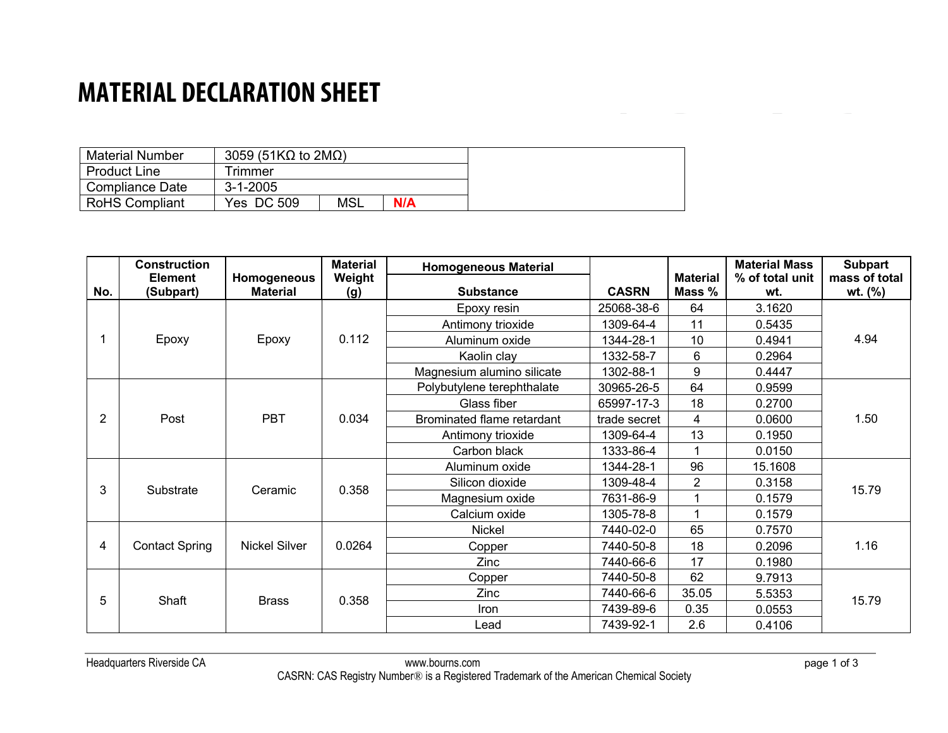## **MATERIAL DECLARATION SHEET**

| <b>Material Number</b> | 3059 (51K $\Omega$ to 2M $\Omega$ ) |            |     |
|------------------------|-------------------------------------|------------|-----|
| <b>Product Line</b>    | Trimmer                             |            |     |
| Compliance Date        | $3 - 1 - 2005$                      |            |     |
| <b>RoHS Compliant</b>  | Yes DC 509                          | <b>MSL</b> | N/A |

|     | <b>Construction</b>         |                                | <b>Material</b> | <b>Homogeneous Material</b> |              |                           | <b>Material Mass</b>   | <b>Subpart</b>           |
|-----|-----------------------------|--------------------------------|-----------------|-----------------------------|--------------|---------------------------|------------------------|--------------------------|
| No. | <b>Element</b><br>(Subpart) | Homogeneous<br><b>Material</b> | Weight<br>(g)   | <b>Substance</b>            | <b>CASRN</b> | <b>Material</b><br>Mass % | % of total unit<br>wt. | mass of total<br>wt. (%) |
|     |                             |                                |                 | Epoxy resin                 | 25068-38-6   | 64                        | 3.1620                 |                          |
|     | Epoxy                       | Epoxy                          | 0.112           | Antimony trioxide           | 1309-64-4    | 11                        | 0.5435                 | 4.94                     |
|     |                             |                                |                 |                             |              |                           |                        |                          |
|     |                             |                                |                 | Aluminum oxide              | 1344-28-1    | 10 <sup>°</sup>           | 0.4941                 |                          |
|     |                             |                                |                 | Kaolin clay                 | 1332-58-7    | 6                         | 0.2964                 |                          |
|     |                             |                                |                 | Magnesium alumino silicate  | 1302-88-1    | 9                         | 0.4447                 |                          |
| 2   | Post                        | <b>PBT</b>                     | 0.034           | Polybutylene terephthalate  | 30965-26-5   | 64                        | 0.9599                 | 1.50                     |
|     |                             |                                |                 | Glass fiber                 | 65997-17-3   | 18                        | 0.2700                 |                          |
|     |                             |                                |                 | Brominated flame retardant  | trade secret | 4                         | 0.0600                 |                          |
|     |                             |                                |                 | Antimony trioxide           | 1309-64-4    | 13                        | 0.1950                 |                          |
|     |                             |                                |                 | Carbon black                | 1333-86-4    |                           | 0.0150                 |                          |
| 3   | Substrate                   | Ceramic                        | 0.358           | Aluminum oxide              | 1344-28-1    | 96                        | 15.1608                | 15.79                    |
|     |                             |                                |                 | Silicon dioxide             | 1309-48-4    | $\overline{2}$            | 0.3158                 |                          |
|     |                             |                                |                 | Magnesium oxide             | 7631-86-9    |                           | 0.1579                 |                          |
|     |                             |                                |                 | Calcium oxide               | 1305-78-8    |                           | 0.1579                 |                          |
| 4   | <b>Contact Spring</b>       | <b>Nickel Silver</b>           | 0.0264          | Nickel                      | 7440-02-0    | 65                        | 0.7570                 | 1.16                     |
|     |                             |                                |                 | Copper                      | 7440-50-8    | 18                        | 0.2096                 |                          |
|     |                             |                                |                 | Zinc                        | 7440-66-6    | 17                        | 0.1980                 |                          |
| 5   | Shaft                       | <b>Brass</b>                   | 0.358           | Copper                      | 7440-50-8    | 62                        | 9.7913                 | 15.79                    |
|     |                             |                                |                 | Zinc                        | 7440-66-6    | 35.05                     | 5.5353                 |                          |
|     |                             |                                |                 | Iron                        | 7439-89-6    | 0.35                      | 0.0553                 |                          |
|     |                             |                                |                 | Lead                        | 7439-92-1    | 2.6                       | 0.4106                 |                          |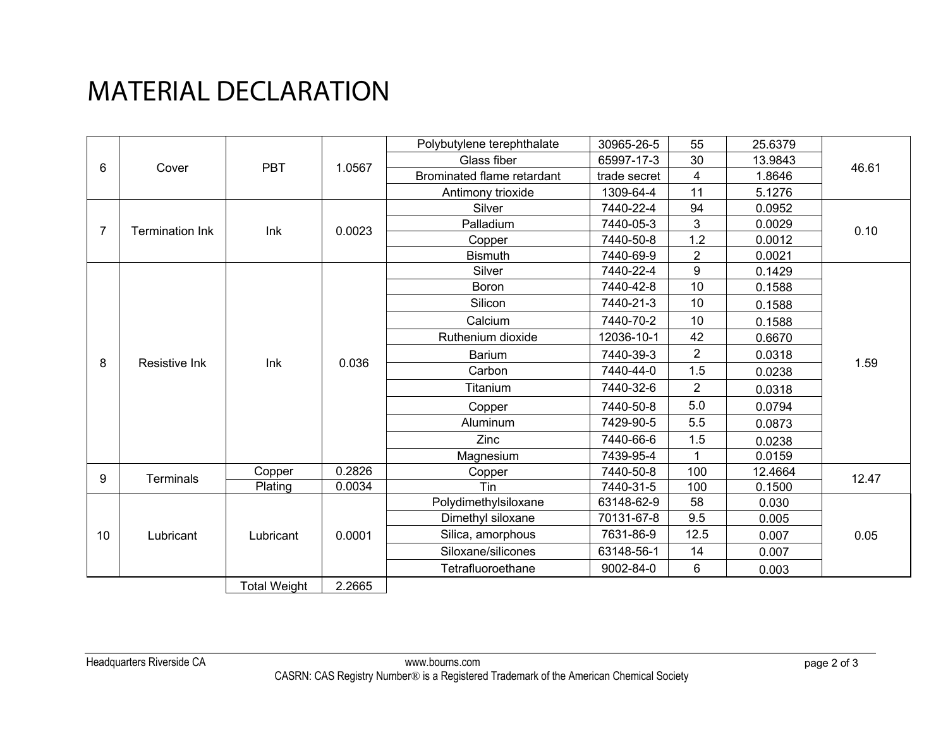## MATERIAL DECLARATION

|    |                        |                     |        | Polybutylene terephthalate | 30965-26-5   | 55               | 25.6379 |       |
|----|------------------------|---------------------|--------|----------------------------|--------------|------------------|---------|-------|
| 6  | Cover                  | <b>PBT</b>          | 1.0567 | Glass fiber                | 65997-17-3   | 30               | 13.9843 | 46.61 |
|    |                        |                     |        | Brominated flame retardant | trade secret | 4                | 1.8646  |       |
| 7  | <b>Termination Ink</b> | Ink                 | 0.0023 | Antimony trioxide          | 1309-64-4    | 11               | 5.1276  | 0.10  |
|    |                        |                     |        | Silver                     | 7440-22-4    | 94               | 0.0952  |       |
|    |                        |                     |        | Palladium                  | 7440-05-3    | 3                | 0.0029  |       |
|    |                        |                     |        | Copper                     | 7440-50-8    | 1.2              | 0.0012  |       |
|    | <b>Resistive Ink</b>   | Ink                 | 0.036  | <b>Bismuth</b>             | 7440-69-9    | $\overline{2}$   | 0.0021  | 1.59  |
|    |                        |                     |        | Silver                     | 7440-22-4    | $\boldsymbol{9}$ | 0.1429  |       |
| 8  |                        |                     |        | Boron                      | 7440-42-8    | 10               | 0.1588  |       |
|    |                        |                     |        | Silicon                    | 7440-21-3    | 10               | 0.1588  |       |
|    |                        |                     |        | Calcium                    | 7440-70-2    | 10               | 0.1588  |       |
|    |                        |                     |        | Ruthenium dioxide          | 12036-10-1   | 42               | 0.6670  |       |
|    |                        |                     |        | <b>Barium</b>              | 7440-39-3    | $\overline{2}$   | 0.0318  |       |
|    |                        |                     |        | Carbon                     | 7440-44-0    | 1.5              | 0.0238  |       |
|    |                        |                     |        | Titanium                   | 7440-32-6    | $\overline{2}$   | 0.0318  |       |
|    |                        |                     |        | Copper                     | 7440-50-8    | 5.0              | 0.0794  |       |
|    |                        |                     |        | Aluminum                   | 7429-90-5    | 5.5              | 0.0873  |       |
|    |                        |                     |        | Zinc                       | 7440-66-6    | 1.5              | 0.0238  |       |
| 9  | <b>Terminals</b>       |                     |        | Magnesium                  | 7439-95-4    | 1                | 0.0159  |       |
|    |                        | Copper              | 0.2826 | Copper                     | 7440-50-8    | 100              | 12.4664 | 12.47 |
|    | Lubricant              | Plating             | 0.0034 | Tin                        | 7440-31-5    | 100              | 0.1500  |       |
|    |                        |                     |        | Polydimethylsiloxane       | 63148-62-9   | 58               | 0.030   |       |
| 10 |                        | Lubricant           | 0.0001 | Dimethyl siloxane          | 70131-67-8   | 9.5              | 0.005   | 0.05  |
|    |                        |                     |        | Silica, amorphous          | 7631-86-9    | 12.5             | 0.007   |       |
|    |                        |                     |        | Siloxane/silicones         | 63148-56-1   | 14               | 0.007   |       |
|    |                        |                     |        | Tetrafluoroethane          | 9002-84-0    | 6                | 0.003   |       |
|    |                        | <b>Total Weight</b> | 2.2665 |                            |              |                  |         |       |